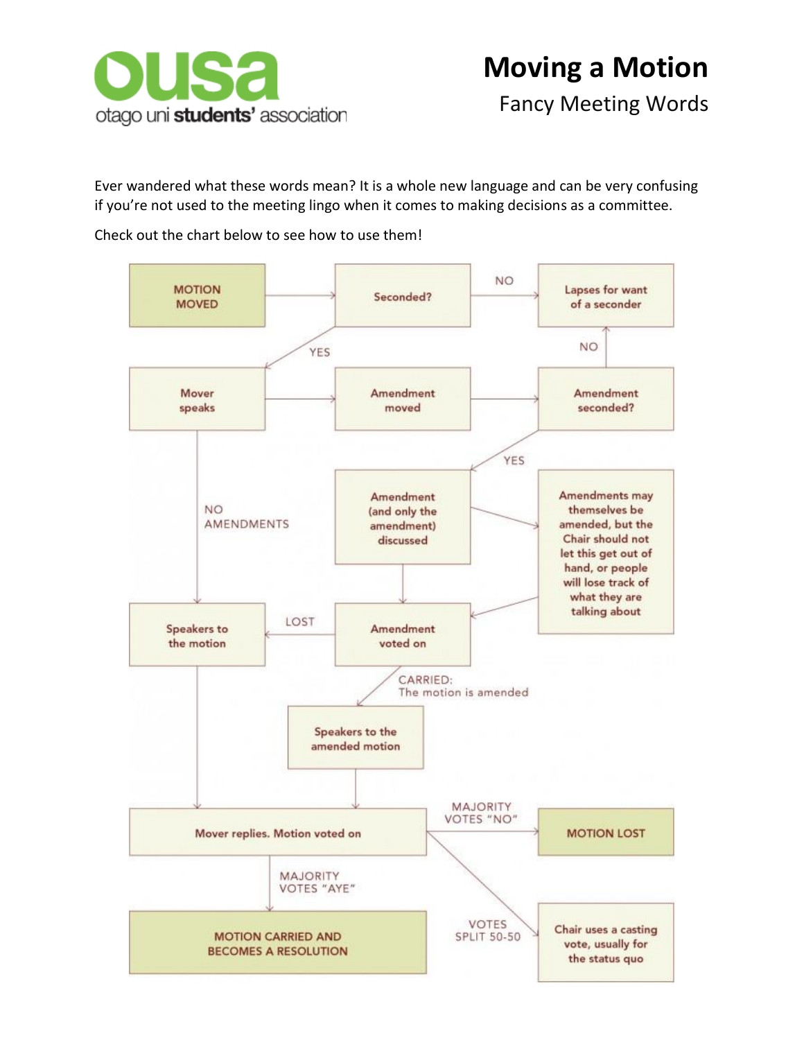

Fancy Meeting Words

Ever wandered what these words mean? It is a whole new language and can be very confusing if you're not used to the meeting lingo when it comes to making decisions as a committee.

Check out the chart below to see how to use them!